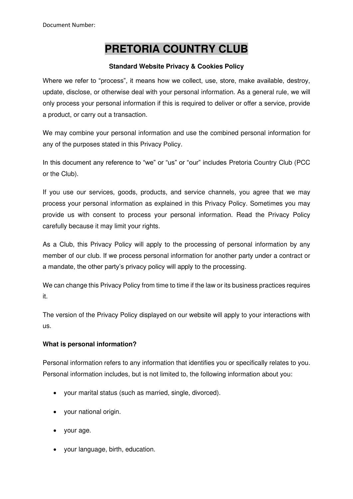# **PRETORIA COUNTRY CLUB**

## **Standard Website Privacy & Cookies Policy**

Where we refer to "process", it means how we collect, use, store, make available, destroy, update, disclose, or otherwise deal with your personal information. As a general rule, we will only process your personal information if this is required to deliver or offer a service, provide a product, or carry out a transaction.

We may combine your personal information and use the combined personal information for any of the purposes stated in this Privacy Policy.

In this document any reference to "we" or "us" or "our" includes Pretoria Country Club (PCC or the Club).

If you use our services, goods, products, and service channels, you agree that we may process your personal information as explained in this Privacy Policy. Sometimes you may provide us with consent to process your personal information. Read the Privacy Policy carefully because it may limit your rights.

As a Club, this Privacy Policy will apply to the processing of personal information by any member of our club. If we process personal information for another party under a contract or a mandate, the other party's privacy policy will apply to the processing.

We can change this Privacy Policy from time to time if the law or its business practices requires it.

The version of the Privacy Policy displayed on our website will apply to your interactions with us.

# **What is personal information?**

Personal information refers to any information that identifies you or specifically relates to you. Personal information includes, but is not limited to, the following information about you:

- your marital status (such as married, single, divorced).
- your national origin.
- your age.
- your language, birth, education.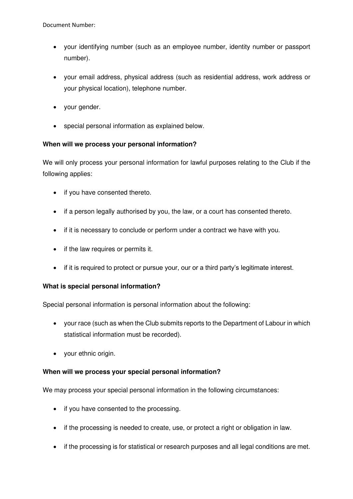- your identifying number (such as an employee number, identity number or passport number).
- your email address, physical address (such as residential address, work address or your physical location), telephone number.
- your gender.
- special personal information as explained below.

## **When will we process your personal information?**

We will only process your personal information for lawful purposes relating to the Club if the following applies:

- if you have consented thereto.
- if a person legally authorised by you, the law, or a court has consented thereto.
- if it is necessary to conclude or perform under a contract we have with you.
- if the law requires or permits it.
- if it is required to protect or pursue your, our or a third party's legitimate interest.

## **What is special personal information?**

Special personal information is personal information about the following:

- your race (such as when the Club submits reports to the Department of Labour in which statistical information must be recorded).
- your ethnic origin.

## **When will we process your special personal information?**

We may process your special personal information in the following circumstances:

- if you have consented to the processing.
- if the processing is needed to create, use, or protect a right or obligation in law.
- if the processing is for statistical or research purposes and all legal conditions are met.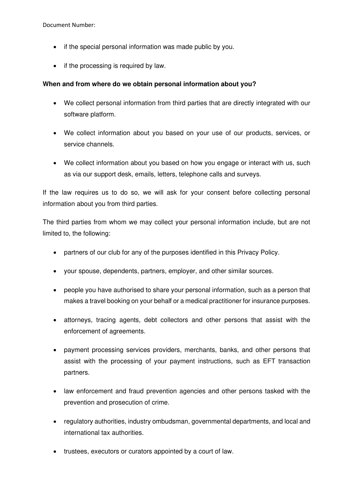- if the special personal information was made public by you.
- if the processing is required by law.

#### **When and from where do we obtain personal information about you?**

- We collect personal information from third parties that are directly integrated with our software platform.
- We collect information about you based on your use of our products, services, or service channels.
- We collect information about you based on how you engage or interact with us, such as via our support desk, emails, letters, telephone calls and surveys.

If the law requires us to do so, we will ask for your consent before collecting personal information about you from third parties.

The third parties from whom we may collect your personal information include, but are not limited to, the following:

- partners of our club for any of the purposes identified in this Privacy Policy.
- your spouse, dependents, partners, employer, and other similar sources.
- people you have authorised to share your personal information, such as a person that makes a travel booking on your behalf or a medical practitioner for insurance purposes.
- attorneys, tracing agents, debt collectors and other persons that assist with the enforcement of agreements.
- payment processing services providers, merchants, banks, and other persons that assist with the processing of your payment instructions, such as EFT transaction partners.
- law enforcement and fraud prevention agencies and other persons tasked with the prevention and prosecution of crime.
- regulatory authorities, industry ombudsman, governmental departments, and local and international tax authorities.
- trustees, executors or curators appointed by a court of law.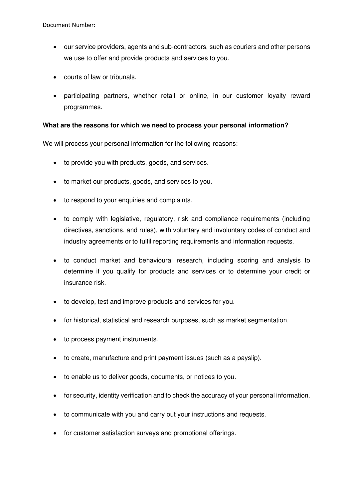- our service providers, agents and sub-contractors, such as couriers and other persons we use to offer and provide products and services to you.
- courts of law or tribunals.
- participating partners, whether retail or online, in our customer loyalty reward programmes.

#### **What are the reasons for which we need to process your personal information?**

We will process your personal information for the following reasons:

- to provide you with products, goods, and services.
- to market our products, goods, and services to you.
- to respond to your enquiries and complaints.
- to comply with legislative, regulatory, risk and compliance requirements (including directives, sanctions, and rules), with voluntary and involuntary codes of conduct and industry agreements or to fulfil reporting requirements and information requests.
- to conduct market and behavioural research, including scoring and analysis to determine if you qualify for products and services or to determine your credit or insurance risk.
- to develop, test and improve products and services for you.
- for historical, statistical and research purposes, such as market segmentation.
- to process payment instruments.
- to create, manufacture and print payment issues (such as a payslip).
- to enable us to deliver goods, documents, or notices to you.
- for security, identity verification and to check the accuracy of your personal information.
- to communicate with you and carry out your instructions and requests.
- for customer satisfaction surveys and promotional offerings.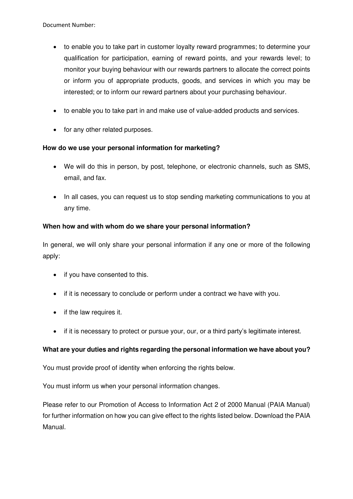- to enable you to take part in customer loyalty reward programmes; to determine your qualification for participation, earning of reward points, and your rewards level; to monitor your buying behaviour with our rewards partners to allocate the correct points or inform you of appropriate products, goods, and services in which you may be interested; or to inform our reward partners about your purchasing behaviour.
- to enable you to take part in and make use of value-added products and services.
- for any other related purposes.

## **How do we use your personal information for marketing?**

- We will do this in person, by post, telephone, or electronic channels, such as SMS, email, and fax.
- In all cases, you can request us to stop sending marketing communications to you at any time.

## **When how and with whom do we share your personal information?**

In general, we will only share your personal information if any one or more of the following apply:

- if you have consented to this.
- if it is necessary to conclude or perform under a contract we have with you.
- if the law requires it.
- if it is necessary to protect or pursue your, our, or a third party's legitimate interest.

# **What are your duties and rights regarding the personal information we have about you?**

You must provide proof of identity when enforcing the rights below.

You must inform us when your personal information changes.

Please refer to our Promotion of Access to Information Act 2 of 2000 Manual (PAIA Manual) for further information on how you can give effect to the rights listed below. Download the PAIA Manual.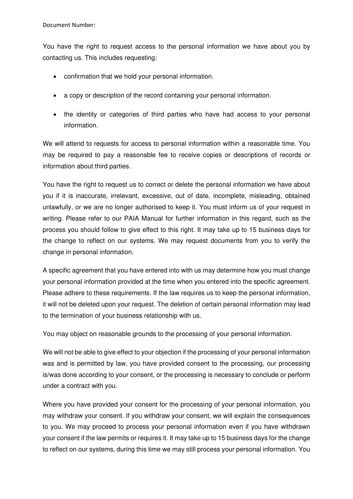You have the right to request access to the personal information we have about you by contacting us. This includes requesting:

- confirmation that we hold your personal information.
- a copy or description of the record containing your personal information.
- the identity or categories of third parties who have had access to your personal information.

We will attend to requests for access to personal information within a reasonable time. You may be required to pay a reasonable fee to receive copies or descriptions of records or information about third parties.

You have the right to request us to correct or delete the personal information we have about you if it is inaccurate, irrelevant, excessive, out of date, incomplete, misleading, obtained unlawfully, or we are no longer authorised to keep it. You must inform us of your request in writing. Please refer to our PAIA Manual for further information in this regard, such as the process you should follow to give effect to this right. It may take up to 15 business days for the change to reflect on our systems. We may request documents from you to verify the change in personal information.

A specific agreement that you have entered into with us may determine how you must change your personal information provided at the time when you entered into the specific agreement. Please adhere to these requirements. If the law requires us to keep the personal information, it will not be deleted upon your request. The deletion of certain personal information may lead to the termination of your business relationship with us.

You may object on reasonable grounds to the processing of your personal information.

We will not be able to give effect to your objection if the processing of your personal information was and is permitted by law, you have provided consent to the processing, our processing is/was done according to your consent, or the processing is necessary to conclude or perform under a contract with you.

Where you have provided your consent for the processing of your personal information, you may withdraw your consent. If you withdraw your consent, we will explain the consequences to you. We may proceed to process your personal information even if you have withdrawn your consent if the law permits or requires it. It may take up to 15 business days for the change to reflect on our systems, during this time we may still process your personal information. You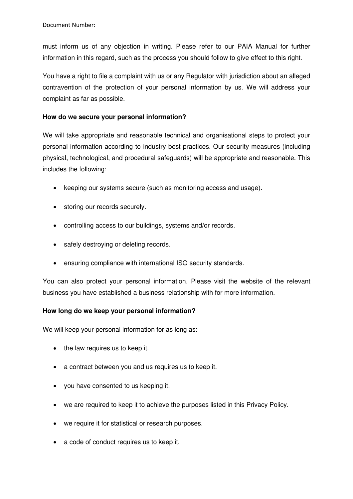must inform us of any objection in writing. Please refer to our PAIA Manual for further information in this regard, such as the process you should follow to give effect to this right.

You have a right to file a complaint with us or any Regulator with jurisdiction about an alleged contravention of the protection of your personal information by us. We will address your complaint as far as possible.

## **How do we secure your personal information?**

We will take appropriate and reasonable technical and organisational steps to protect your personal information according to industry best practices. Our security measures (including physical, technological, and procedural safeguards) will be appropriate and reasonable. This includes the following:

- keeping our systems secure (such as monitoring access and usage).
- storing our records securely.
- controlling access to our buildings, systems and/or records.
- safely destroying or deleting records.
- ensuring compliance with international ISO security standards.

You can also protect your personal information. Please visit the website of the relevant business you have established a business relationship with for more information.

## **How long do we keep your personal information?**

We will keep your personal information for as long as:

- the law requires us to keep it.
- a contract between you and us requires us to keep it.
- you have consented to us keeping it.
- we are required to keep it to achieve the purposes listed in this Privacy Policy.
- we require it for statistical or research purposes.
- a code of conduct requires us to keep it.